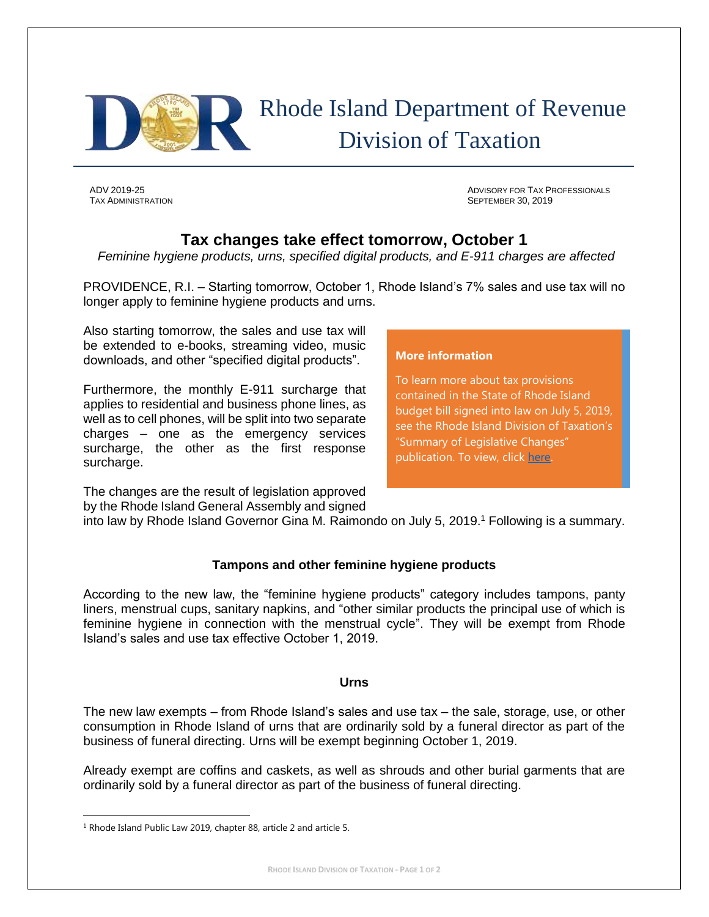

# Rhode Island Department of Revenue Division of Taxation

ADV 2019-25 ADVISORY FOR TAX PROFESSIONALS TAX ADMINISTRATION SEPTEMBER 30, 2019

# **Tax changes take effect tomorrow, October 1**

*Feminine hygiene products, urns, specified digital products, and E-911 charges are affected*

PROVIDENCE, R.I. – Starting tomorrow, October 1, Rhode Island's 7% sales and use tax will no longer apply to feminine hygiene products and urns.

Also starting tomorrow, the sales and use tax will be extended to e-books, streaming video, music downloads, and other "specified digital products".

Furthermore, the monthly E-911 surcharge that applies to residential and business phone lines, as well as to cell phones, will be split into two separate charges – one as the emergency services surcharge, the other as the first response surcharge.

**More information**

To learn more about tax provisions contained in the State of Rhode Island budget bill signed into law on July 5, 2019, see the Rhode Island Division of Taxation's "Summary of Legislative Changes" publication. To view, click [here.](http://www.tax.ri.gov/reports/Summary_of_Legislative_Changes_08_05_19.pdf)

The changes are the result of legislation approved by the Rhode Island General Assembly and signed

into law by Rhode Island Governor Gina M. Raimondo on July 5, 2019.<sup>1</sup> Following is a summary.

# **Tampons and other feminine hygiene products**

According to the new law, the "feminine hygiene products" category includes tampons, panty liners, menstrual cups, sanitary napkins, and "other similar products the principal use of which is feminine hygiene in connection with the menstrual cycle". They will be exempt from Rhode Island's sales and use tax effective October 1, 2019.

# **Urns**

The new law exempts – from Rhode Island's sales and use tax – the sale, storage, use, or other consumption in Rhode Island of urns that are ordinarily sold by a funeral director as part of the business of funeral directing. Urns will be exempt beginning October 1, 2019.

Already exempt are coffins and caskets, as well as shrouds and other burial garments that are ordinarily sold by a funeral director as part of the business of funeral directing.

 $\overline{a}$ 

<sup>&</sup>lt;sup>1</sup> Rhode Island Public Law 2019, chapter 88, article 2 and article 5.